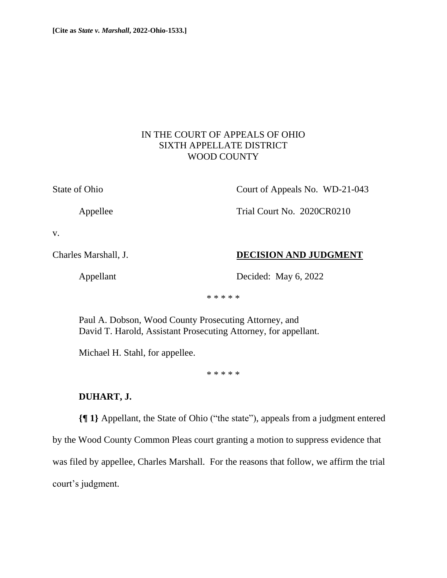# IN THE COURT OF APPEALS OF OHIO SIXTH APPELLATE DISTRICT WOOD COUNTY

State of Ohio Court of Appeals No. WD-21-043

Appellee Trial Court No. 2020CR0210

v.

Charles Marshall, J. **DECISION AND JUDGMENT**

Appellant Decided: May 6, 2022

\* \* \* \* \*

Paul A. Dobson, Wood County Prosecuting Attorney, and David T. Harold, Assistant Prosecuting Attorney, for appellant.

Michael H. Stahl, for appellee.

\* \* \* \* \*

# **DUHART, J.**

**{¶ 1}** Appellant, the State of Ohio ("the state"), appeals from a judgment entered by the Wood County Common Pleas court granting a motion to suppress evidence that was filed by appellee, Charles Marshall. For the reasons that follow, we affirm the trial court's judgment.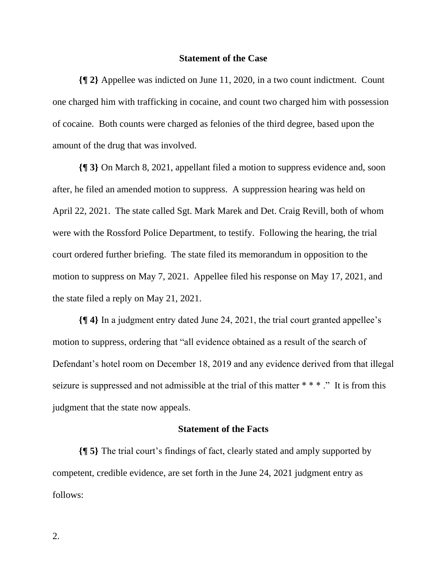### **Statement of the Case**

**{¶ 2}** Appellee was indicted on June 11, 2020, in a two count indictment. Count one charged him with trafficking in cocaine, and count two charged him with possession of cocaine. Both counts were charged as felonies of the third degree, based upon the amount of the drug that was involved.

**{¶ 3}** On March 8, 2021, appellant filed a motion to suppress evidence and, soon after, he filed an amended motion to suppress. A suppression hearing was held on April 22, 2021. The state called Sgt. Mark Marek and Det. Craig Revill, both of whom were with the Rossford Police Department, to testify. Following the hearing, the trial court ordered further briefing. The state filed its memorandum in opposition to the motion to suppress on May 7, 2021. Appellee filed his response on May 17, 2021, and the state filed a reply on May 21, 2021.

**{¶ 4}** In a judgment entry dated June 24, 2021, the trial court granted appellee's motion to suppress, ordering that "all evidence obtained as a result of the search of Defendant's hotel room on December 18, 2019 and any evidence derived from that illegal seizure is suppressed and not admissible at the trial of this matter \* \* \* ." It is from this judgment that the state now appeals.

### **Statement of the Facts**

**{¶ 5}** The trial court's findings of fact, clearly stated and amply supported by competent, credible evidence, are set forth in the June 24, 2021 judgment entry as follows: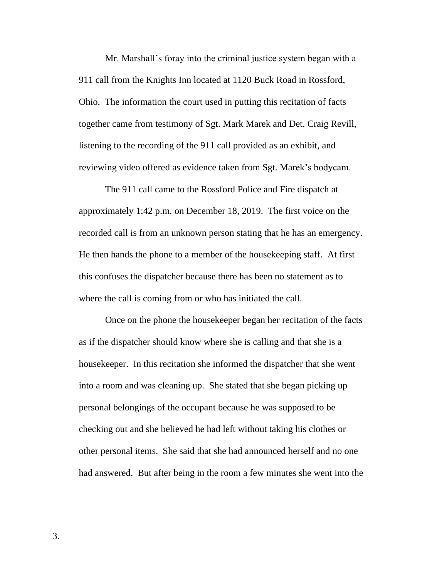Mr. Marshall's foray into the criminal justice system began with a 911 call from the Knights Inn located at 1120 Buck Road in Rossford, Ohio. The information the court used in putting this recitation of facts together came from testimony of Sgt. Mark Marek and Det. Craig Revill, listening to the recording of the 911 call provided as an exhibit, and reviewing video offered as evidence taken from Sgt. Marek's bodycam.

The 911 call came to the Rossford Police and Fire dispatch at approximately 1:42 p.m. on December 18, 2019. The first voice on the recorded call is from an unknown person stating that he has an emergency. He then hands the phone to a member of the housekeeping staff. At first this confuses the dispatcher because there has been no statement as to where the call is coming from or who has initiated the call.

Once on the phone the housekeeper began her recitation of the facts as if the dispatcher should know where she is calling and that she is a housekeeper. In this recitation she informed the dispatcher that she went into a room and was cleaning up. She stated that she began picking up personal belongings of the occupant because he was supposed to be checking out and she believed he had left without taking his clothes or other personal items. She said that she had announced herself and no one had answered. But after being in the room a few minutes she went into the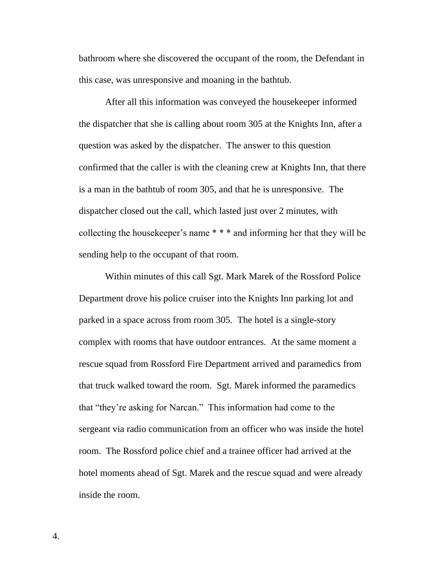bathroom where she discovered the occupant of the room, the Defendant in this case, was unresponsive and moaning in the bathtub.

After all this information was conveyed the housekeeper informed the dispatcher that she is calling about room 305 at the Knights Inn, after a question was asked by the dispatcher. The answer to this question confirmed that the caller is with the cleaning crew at Knights Inn, that there is a man in the bathtub of room 305, and that he is unresponsive. The dispatcher closed out the call, which lasted just over 2 minutes, with collecting the housekeeper's name \* \* \* and informing her that they will be sending help to the occupant of that room.

Within minutes of this call Sgt. Mark Marek of the Rossford Police Department drove his police cruiser into the Knights Inn parking lot and parked in a space across from room 305. The hotel is a single-story complex with rooms that have outdoor entrances. At the same moment a rescue squad from Rossford Fire Department arrived and paramedics from that truck walked toward the room. Sgt. Marek informed the paramedics that "they're asking for Narcan." This information had come to the sergeant via radio communication from an officer who was inside the hotel room. The Rossford police chief and a trainee officer had arrived at the hotel moments ahead of Sgt. Marek and the rescue squad and were already inside the room.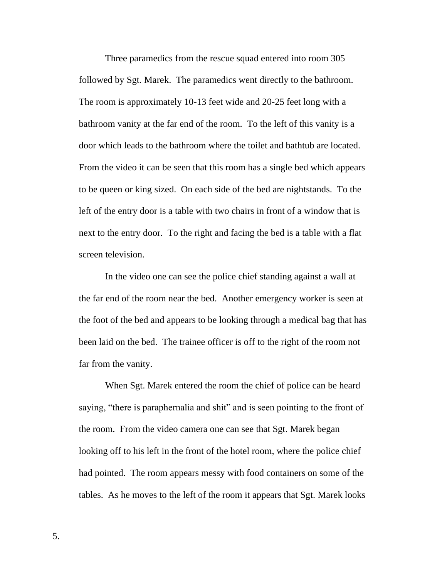Three paramedics from the rescue squad entered into room 305 followed by Sgt. Marek. The paramedics went directly to the bathroom. The room is approximately 10-13 feet wide and 20-25 feet long with a bathroom vanity at the far end of the room. To the left of this vanity is a door which leads to the bathroom where the toilet and bathtub are located. From the video it can be seen that this room has a single bed which appears to be queen or king sized. On each side of the bed are nightstands. To the left of the entry door is a table with two chairs in front of a window that is next to the entry door. To the right and facing the bed is a table with a flat screen television.

In the video one can see the police chief standing against a wall at the far end of the room near the bed. Another emergency worker is seen at the foot of the bed and appears to be looking through a medical bag that has been laid on the bed. The trainee officer is off to the right of the room not far from the vanity.

When Sgt. Marek entered the room the chief of police can be heard saying, "there is paraphernalia and shit" and is seen pointing to the front of the room. From the video camera one can see that Sgt. Marek began looking off to his left in the front of the hotel room, where the police chief had pointed. The room appears messy with food containers on some of the tables. As he moves to the left of the room it appears that Sgt. Marek looks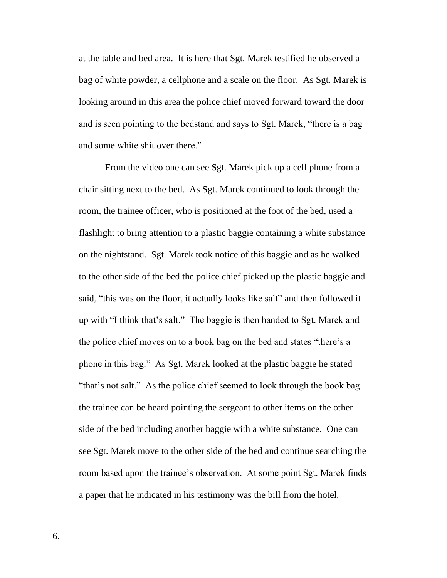at the table and bed area. It is here that Sgt. Marek testified he observed a bag of white powder, a cellphone and a scale on the floor. As Sgt. Marek is looking around in this area the police chief moved forward toward the door and is seen pointing to the bedstand and says to Sgt. Marek, "there is a bag and some white shit over there."

From the video one can see Sgt. Marek pick up a cell phone from a chair sitting next to the bed. As Sgt. Marek continued to look through the room, the trainee officer, who is positioned at the foot of the bed, used a flashlight to bring attention to a plastic baggie containing a white substance on the nightstand. Sgt. Marek took notice of this baggie and as he walked to the other side of the bed the police chief picked up the plastic baggie and said, "this was on the floor, it actually looks like salt" and then followed it up with "I think that's salt." The baggie is then handed to Sgt. Marek and the police chief moves on to a book bag on the bed and states "there's a phone in this bag." As Sgt. Marek looked at the plastic baggie he stated "that's not salt." As the police chief seemed to look through the book bag the trainee can be heard pointing the sergeant to other items on the other side of the bed including another baggie with a white substance. One can see Sgt. Marek move to the other side of the bed and continue searching the room based upon the trainee's observation. At some point Sgt. Marek finds a paper that he indicated in his testimony was the bill from the hotel.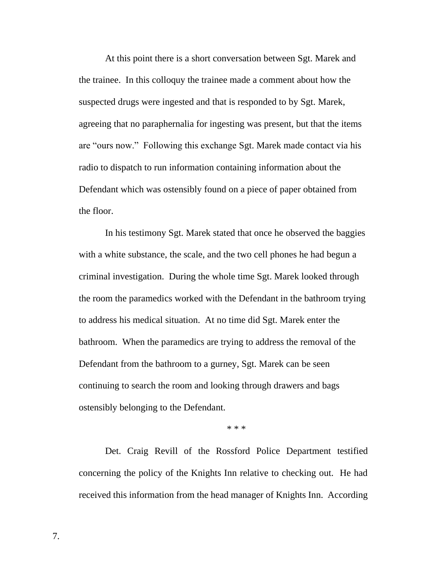At this point there is a short conversation between Sgt. Marek and the trainee. In this colloquy the trainee made a comment about how the suspected drugs were ingested and that is responded to by Sgt. Marek, agreeing that no paraphernalia for ingesting was present, but that the items are "ours now." Following this exchange Sgt. Marek made contact via his radio to dispatch to run information containing information about the Defendant which was ostensibly found on a piece of paper obtained from the floor.

In his testimony Sgt. Marek stated that once he observed the baggies with a white substance, the scale, and the two cell phones he had begun a criminal investigation. During the whole time Sgt. Marek looked through the room the paramedics worked with the Defendant in the bathroom trying to address his medical situation. At no time did Sgt. Marek enter the bathroom. When the paramedics are trying to address the removal of the Defendant from the bathroom to a gurney, Sgt. Marek can be seen continuing to search the room and looking through drawers and bags ostensibly belonging to the Defendant.

\* \* \*

Det. Craig Revill of the Rossford Police Department testified concerning the policy of the Knights Inn relative to checking out. He had received this information from the head manager of Knights Inn. According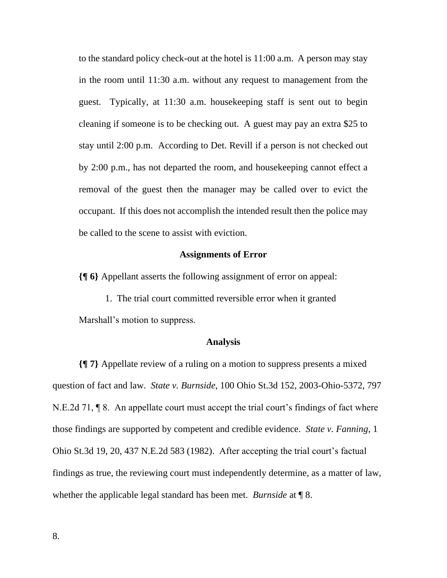to the standard policy check-out at the hotel is 11:00 a.m. A person may stay in the room until 11:30 a.m. without any request to management from the guest. Typically, at 11:30 a.m. housekeeping staff is sent out to begin cleaning if someone is to be checking out. A guest may pay an extra \$25 to stay until 2:00 p.m. According to Det. Revill if a person is not checked out by 2:00 p.m., has not departed the room, and housekeeping cannot effect a removal of the guest then the manager may be called over to evict the occupant. If this does not accomplish the intended result then the police may be called to the scene to assist with eviction.

### **Assignments of Error**

**{¶ 6}** Appellant asserts the following assignment of error on appeal:

1. The trial court committed reversible error when it granted Marshall's motion to suppress.

#### **Analysis**

**{¶ 7}** Appellate review of a ruling on a motion to suppress presents a mixed question of fact and law. *State v. Burnside*, 100 Ohio St.3d 152, 2003-Ohio-5372, 797 N.E.2d 71, ¶ 8. An appellate court must accept the trial court's findings of fact where those findings are supported by competent and credible evidence. *State v. Fanning*, 1 Ohio St.3d 19, 20, 437 N.E.2d 583 (1982). After accepting the trial court's factual findings as true, the reviewing court must independently determine, as a matter of law, whether the applicable legal standard has been met. *Burnside* at ¶ 8.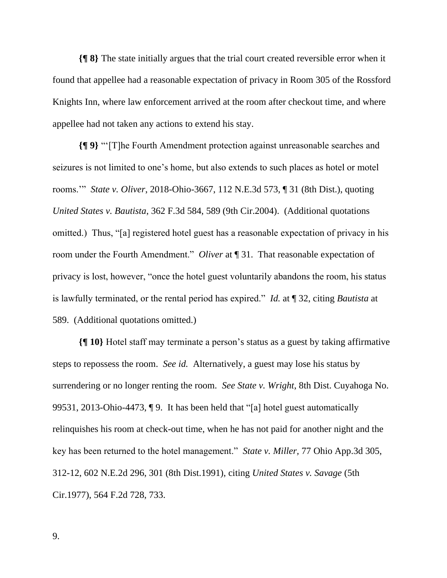**{¶ 8}** The state initially argues that the trial court created reversible error when it found that appellee had a reasonable expectation of privacy in Room 305 of the Rossford Knights Inn, where law enforcement arrived at the room after checkout time, and where appellee had not taken any actions to extend his stay.

**{¶ 9}** "'[T]he Fourth Amendment protection against unreasonable searches and seizures is not limited to one's home, but also extends to such places as hotel or motel rooms.'" *State v. Oliver*, 2018-Ohio-3667, 112 N.E.3d 573, ¶ 31 (8th Dist.), quoting *United States v. Bautista*, 362 F.3d 584, 589 (9th Cir.2004). (Additional quotations omitted.) Thus, "[a] registered hotel guest has a reasonable expectation of privacy in his room under the Fourth Amendment." *Oliver* at ¶ 31. That reasonable expectation of privacy is lost, however, "once the hotel guest voluntarily abandons the room, his status is lawfully terminated, or the rental period has expired." *Id.* at ¶ 32, citing *Bautista* at 589. (Additional quotations omitted.)

**{¶ 10}** Hotel staff may terminate a person's status as a guest by taking affirmative steps to repossess the room. *See id.* Alternatively, a guest may lose his status by surrendering or no longer renting the room. *See State v. Wright*, 8th Dist. Cuyahoga No. 99531, 2013-Ohio-4473, ¶ 9. It has been held that "[a] hotel guest automatically relinquishes his room at check-out time, when he has not paid for another night and the key has been returned to the hotel management." *State v. Miller,* 77 Ohio App.3d 305, 312-12, 602 N.E.2d 296, 301 (8th Dist.1991), citing *United States v. Savage* (5th Cir.1977), 564 F.2d 728, 733.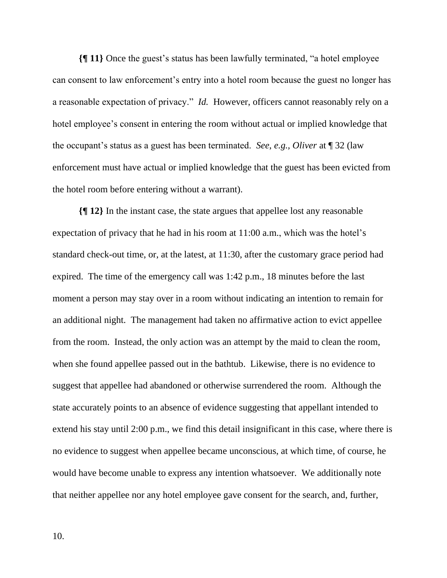**{¶ 11}** Once the guest's status has been lawfully terminated, "a hotel employee can consent to law enforcement's entry into a hotel room because the guest no longer has a reasonable expectation of privacy." *Id.* However, officers cannot reasonably rely on a hotel employee's consent in entering the room without actual or implied knowledge that the occupant's status as a guest has been terminated. *See*, *e.g., Oliver* at ¶ 32 (law enforcement must have actual or implied knowledge that the guest has been evicted from the hotel room before entering without a warrant).

**{¶ 12}** In the instant case, the state argues that appellee lost any reasonable expectation of privacy that he had in his room at 11:00 a.m., which was the hotel's standard check-out time, or, at the latest, at 11:30, after the customary grace period had expired. The time of the emergency call was 1:42 p.m., 18 minutes before the last moment a person may stay over in a room without indicating an intention to remain for an additional night. The management had taken no affirmative action to evict appellee from the room. Instead, the only action was an attempt by the maid to clean the room, when she found appellee passed out in the bathtub. Likewise, there is no evidence to suggest that appellee had abandoned or otherwise surrendered the room. Although the state accurately points to an absence of evidence suggesting that appellant intended to extend his stay until 2:00 p.m., we find this detail insignificant in this case, where there is no evidence to suggest when appellee became unconscious, at which time, of course, he would have become unable to express any intention whatsoever. We additionally note that neither appellee nor any hotel employee gave consent for the search, and, further,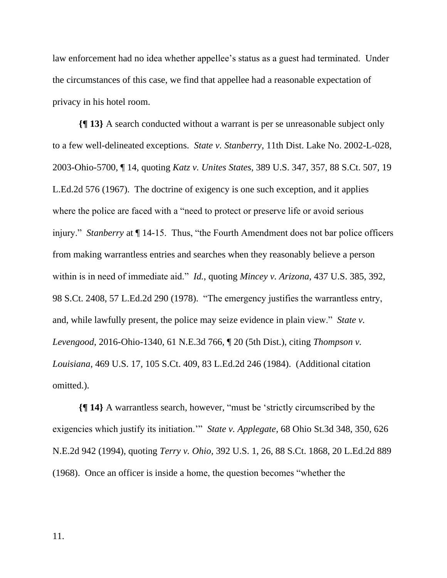law enforcement had no idea whether appellee's status as a guest had terminated. Under the circumstances of this case, we find that appellee had a reasonable expectation of privacy in his hotel room.

**{¶ 13}** A search conducted without a warrant is per se unreasonable subject only to a few well-delineated exceptions. *State v. Stanberry,* 11th Dist. Lake No. 2002-L-028, 2003-Ohio-5700, ¶ 14, quoting *Katz v. Unites States*, 389 U.S. 347, 357, 88 S.Ct. 507, 19 L.Ed.2d 576 (1967). The doctrine of exigency is one such exception, and it applies where the police are faced with a "need to protect or preserve life or avoid serious injury." *Stanberry* at ¶ 14-15. Thus, "the Fourth Amendment does not bar police officers from making warrantless entries and searches when they reasonably believe a person within is in need of immediate aid." *Id.*, quoting *Mincey v. Arizona*, 437 U.S. 385, 392, 98 S.Ct. 2408, 57 L.Ed.2d 290 (1978). "The emergency justifies the warrantless entry, and, while lawfully present, the police may seize evidence in plain view." *State v. Levengood*, 2016-Ohio-1340, 61 N.E.3d 766, ¶ 20 (5th Dist.), citing *Thompson v. Louisiana*, 469 U.S. 17, 105 S.Ct. 409, 83 L.Ed.2d 246 (1984). (Additional citation omitted.).

**{¶ 14}** A warrantless search, however, "must be 'strictly circumscribed by the exigencies which justify its initiation.'" *State v. Applegate*, 68 Ohio St.3d 348, 350, 626 N.E.2d 942 (1994), quoting *Terry v. Ohio*, 392 U.S. 1, 26, 88 S.Ct. 1868, 20 L.Ed.2d 889 (1968). Once an officer is inside a home, the question becomes "whether the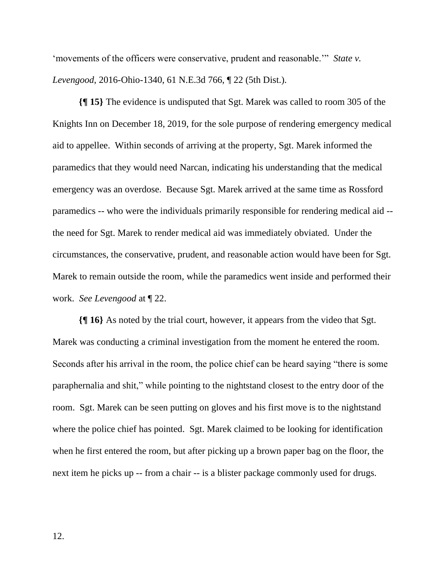'movements of the officers were conservative, prudent and reasonable.'" *State v. Levengood*, 2016-Ohio-1340, 61 N.E.3d 766, ¶ 22 (5th Dist.).

**{¶ 15}** The evidence is undisputed that Sgt. Marek was called to room 305 of the Knights Inn on December 18, 2019, for the sole purpose of rendering emergency medical aid to appellee. Within seconds of arriving at the property, Sgt. Marek informed the paramedics that they would need Narcan, indicating his understanding that the medical emergency was an overdose. Because Sgt. Marek arrived at the same time as Rossford paramedics -- who were the individuals primarily responsible for rendering medical aid - the need for Sgt. Marek to render medical aid was immediately obviated. Under the circumstances, the conservative, prudent, and reasonable action would have been for Sgt. Marek to remain outside the room, while the paramedics went inside and performed their work. *See Levengood* at ¶ 22.

**{¶ 16}** As noted by the trial court, however, it appears from the video that Sgt. Marek was conducting a criminal investigation from the moment he entered the room. Seconds after his arrival in the room, the police chief can be heard saying "there is some paraphernalia and shit," while pointing to the nightstand closest to the entry door of the room. Sgt. Marek can be seen putting on gloves and his first move is to the nightstand where the police chief has pointed. Sgt. Marek claimed to be looking for identification when he first entered the room, but after picking up a brown paper bag on the floor, the next item he picks up -- from a chair -- is a blister package commonly used for drugs.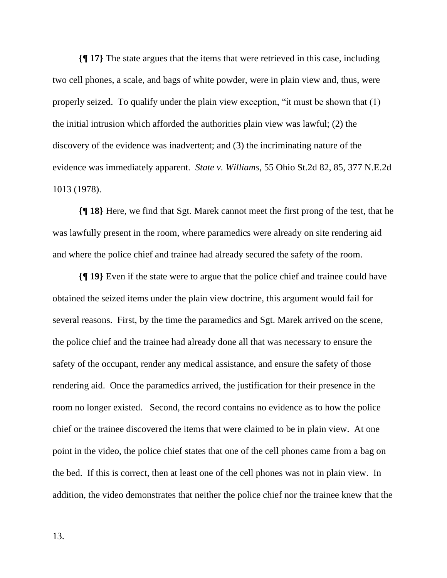**{¶ 17}** The state argues that the items that were retrieved in this case, including two cell phones, a scale, and bags of white powder, were in plain view and, thus, were properly seized. To qualify under the plain view exception, "it must be shown that (1) the initial intrusion which afforded the authorities plain view was lawful; (2) the discovery of the evidence was inadvertent; and (3) the incriminating nature of the evidence was immediately apparent. *State v. Williams*, 55 Ohio St.2d 82, 85, 377 N.E.2d 1013 (1978).

**{¶ 18}** Here, we find that Sgt. Marek cannot meet the first prong of the test, that he was lawfully present in the room, where paramedics were already on site rendering aid and where the police chief and trainee had already secured the safety of the room.

**{¶ 19}** Even if the state were to argue that the police chief and trainee could have obtained the seized items under the plain view doctrine, this argument would fail for several reasons. First, by the time the paramedics and Sgt. Marek arrived on the scene, the police chief and the trainee had already done all that was necessary to ensure the safety of the occupant, render any medical assistance, and ensure the safety of those rendering aid. Once the paramedics arrived, the justification for their presence in the room no longer existed. Second, the record contains no evidence as to how the police chief or the trainee discovered the items that were claimed to be in plain view. At one point in the video, the police chief states that one of the cell phones came from a bag on the bed. If this is correct, then at least one of the cell phones was not in plain view. In addition, the video demonstrates that neither the police chief nor the trainee knew that the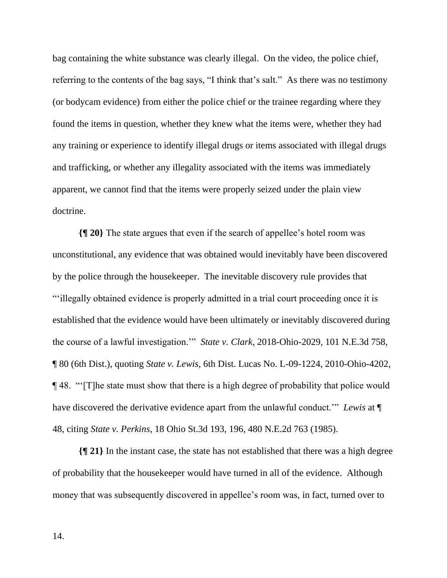bag containing the white substance was clearly illegal. On the video, the police chief, referring to the contents of the bag says, "I think that's salt." As there was no testimony (or bodycam evidence) from either the police chief or the trainee regarding where they found the items in question, whether they knew what the items were, whether they had any training or experience to identify illegal drugs or items associated with illegal drugs and trafficking, or whether any illegality associated with the items was immediately apparent, we cannot find that the items were properly seized under the plain view doctrine.

**{¶ 20}** The state argues that even if the search of appellee's hotel room was unconstitutional, any evidence that was obtained would inevitably have been discovered by the police through the housekeeper. The inevitable discovery rule provides that "'illegally obtained evidence is properly admitted in a trial court proceeding once it is established that the evidence would have been ultimately or inevitably discovered during the course of a lawful investigation.'" *State v. Clark*, 2018-Ohio-2029, 101 N.E.3d 758, ¶ 80 (6th Dist.), quoting *State v. Lewis*, 6th Dist. Lucas No. L-09-1224, 2010-Ohio-4202, ¶ 48. "'[T]he state must show that there is a high degree of probability that police would have discovered the derivative evidence apart from the unlawful conduct.'" *Lewis* at ¶ 48, citing *State v. Perkins*, 18 Ohio St.3d 193, 196, 480 N.E.2d 763 (1985).

**{¶ 21}** In the instant case, the state has not established that there was a high degree of probability that the housekeeper would have turned in all of the evidence. Although money that was subsequently discovered in appellee's room was, in fact, turned over to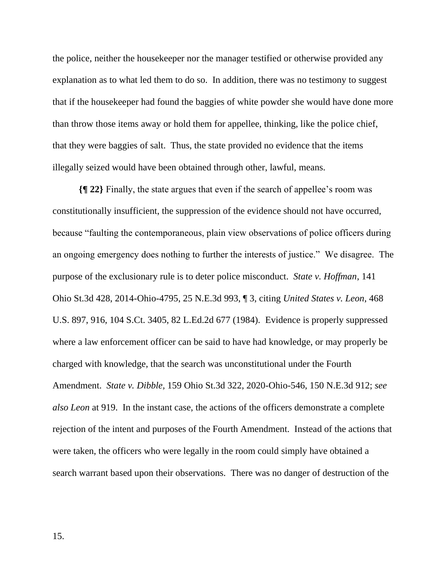the police, neither the housekeeper nor the manager testified or otherwise provided any explanation as to what led them to do so. In addition, there was no testimony to suggest that if the housekeeper had found the baggies of white powder she would have done more than throw those items away or hold them for appellee, thinking, like the police chief, that they were baggies of salt. Thus, the state provided no evidence that the items illegally seized would have been obtained through other, lawful, means.

**{¶ 22}** Finally, the state argues that even if the search of appellee's room was constitutionally insufficient, the suppression of the evidence should not have occurred, because "faulting the contemporaneous, plain view observations of police officers during an ongoing emergency does nothing to further the interests of justice." We disagree. The purpose of the exclusionary rule is to deter police misconduct. *State v. Hoffman*, 141 Ohio St.3d 428, 2014-Ohio-4795, 25 N.E.3d 993, ¶ 3, citing *United States v. Leon*, 468 U.S. 897, 916, 104 S.Ct. 3405, 82 L.Ed.2d 677 (1984). Evidence is properly suppressed where a law enforcement officer can be said to have had knowledge, or may properly be charged with knowledge, that the search was unconstitutional under the Fourth Amendment. *State v. Dibble,* 159 Ohio St.3d 322, 2020-Ohio-546, 150 N.E.3d 912; *see also Leon* at 919. In the instant case, the actions of the officers demonstrate a complete rejection of the intent and purposes of the Fourth Amendment. Instead of the actions that were taken, the officers who were legally in the room could simply have obtained a search warrant based upon their observations. There was no danger of destruction of the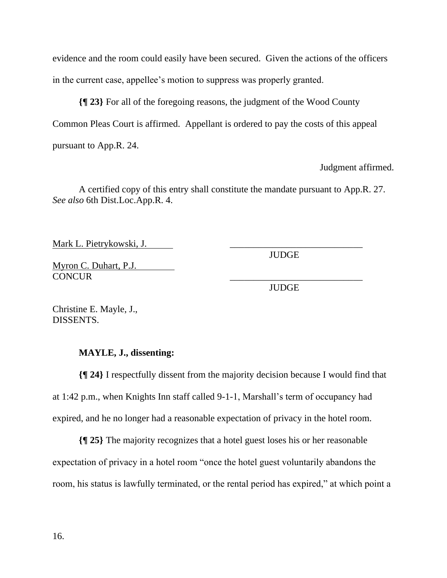evidence and the room could easily have been secured. Given the actions of the officers in the current case, appellee's motion to suppress was properly granted.

**{¶ 23}** For all of the foregoing reasons, the judgment of the Wood County Common Pleas Court is affirmed. Appellant is ordered to pay the costs of this appeal pursuant to App.R. 24.

Judgment affirmed.

A certified copy of this entry shall constitute the mandate pursuant to App.R. 27. *See also* 6th Dist.Loc.App.R. 4.

Mark L. Pietrykowski, J.

JUDGE

Myron C. Duhart, P.J. CONCUR

JUDGE

Christine E. Mayle, J., DISSENTS.

## **MAYLE, J., dissenting:**

**{¶ 24}** I respectfully dissent from the majority decision because I would find that at 1:42 p.m., when Knights Inn staff called 9-1-1, Marshall's term of occupancy had expired, and he no longer had a reasonable expectation of privacy in the hotel room.

**{¶ 25}** The majority recognizes that a hotel guest loses his or her reasonable expectation of privacy in a hotel room "once the hotel guest voluntarily abandons the room, his status is lawfully terminated, or the rental period has expired," at which point a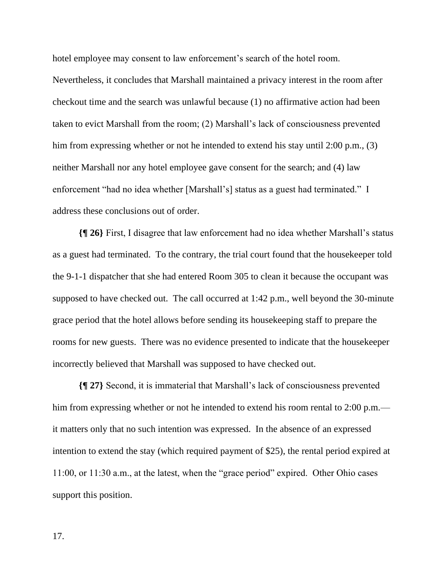hotel employee may consent to law enforcement's search of the hotel room.

Nevertheless, it concludes that Marshall maintained a privacy interest in the room after checkout time and the search was unlawful because (1) no affirmative action had been taken to evict Marshall from the room; (2) Marshall's lack of consciousness prevented him from expressing whether or not he intended to extend his stay until 2:00 p.m., (3) neither Marshall nor any hotel employee gave consent for the search; and (4) law enforcement "had no idea whether [Marshall's] status as a guest had terminated." I address these conclusions out of order.

**{¶ 26}** First, I disagree that law enforcement had no idea whether Marshall's status as a guest had terminated. To the contrary, the trial court found that the housekeeper told the 9-1-1 dispatcher that she had entered Room 305 to clean it because the occupant was supposed to have checked out. The call occurred at 1:42 p.m., well beyond the 30-minute grace period that the hotel allows before sending its housekeeping staff to prepare the rooms for new guests. There was no evidence presented to indicate that the housekeeper incorrectly believed that Marshall was supposed to have checked out.

**{¶ 27}** Second, it is immaterial that Marshall's lack of consciousness prevented him from expressing whether or not he intended to extend his room rental to 2:00 p.m. it matters only that no such intention was expressed. In the absence of an expressed intention to extend the stay (which required payment of \$25), the rental period expired at 11:00, or 11:30 a.m., at the latest, when the "grace period" expired. Other Ohio cases support this position.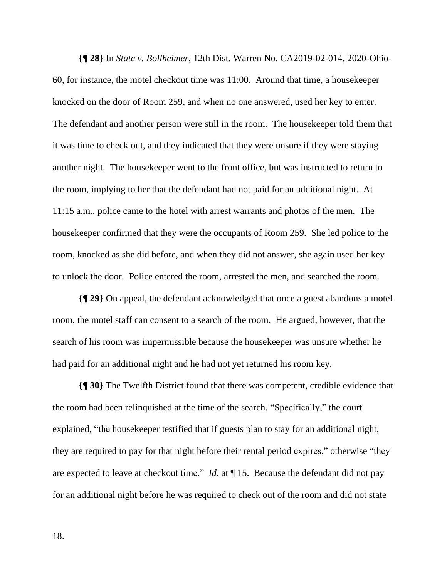**{¶ 28}** In *State v. Bollheimer*, 12th Dist. Warren No. CA2019-02-014, 2020-Ohio-60, for instance, the motel checkout time was 11:00. Around that time, a housekeeper knocked on the door of Room 259, and when no one answered, used her key to enter. The defendant and another person were still in the room. The housekeeper told them that it was time to check out, and they indicated that they were unsure if they were staying another night. The housekeeper went to the front office, but was instructed to return to the room, implying to her that the defendant had not paid for an additional night. At 11:15 a.m., police came to the hotel with arrest warrants and photos of the men. The housekeeper confirmed that they were the occupants of Room 259. She led police to the room, knocked as she did before, and when they did not answer, she again used her key to unlock the door. Police entered the room, arrested the men, and searched the room.

**{¶ 29}** On appeal, the defendant acknowledged that once a guest abandons a motel room, the motel staff can consent to a search of the room. He argued, however, that the search of his room was impermissible because the housekeeper was unsure whether he had paid for an additional night and he had not yet returned his room key.

**{¶ 30}** The Twelfth District found that there was competent, credible evidence that the room had been relinquished at the time of the search. "Specifically," the court explained, "the housekeeper testified that if guests plan to stay for an additional night, they are required to pay for that night before their rental period expires," otherwise "they are expected to leave at checkout time." *Id.* at ¶ 15. Because the defendant did not pay for an additional night before he was required to check out of the room and did not state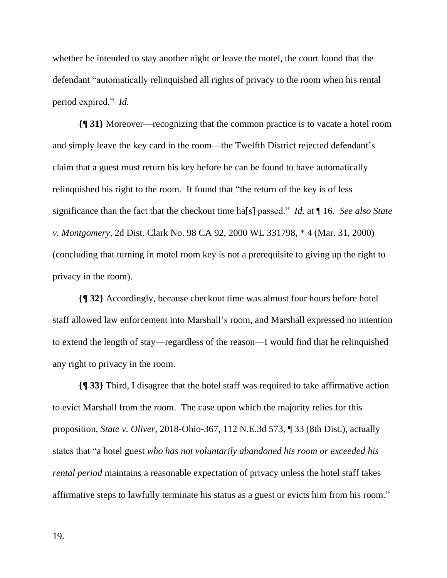whether he intended to stay another night or leave the motel, the court found that the defendant "automatically relinquished all rights of privacy to the room when his rental period expired." *Id.* 

**{¶ 31}** Moreover—recognizing that the common practice is to vacate a hotel room and simply leave the key card in the room—the Twelfth District rejected defendant's claim that a guest must return his key before he can be found to have automatically relinquished his right to the room. It found that "the return of the key is of less significance than the fact that the checkout time ha[s] passed." *Id.* at ¶ 16. *See also State v. Montgomery,* 2d Dist. Clark No. 98 CA 92, 2000 WL 331798, \* 4 (Mar. 31, 2000) (concluding that turning in motel room key is not a prerequisite to giving up the right to privacy in the room).

**{¶ 32}** Accordingly, because checkout time was almost four hours before hotel staff allowed law enforcement into Marshall's room, and Marshall expressed no intention to extend the length of stay—regardless of the reason—I would find that he relinquished any right to privacy in the room.

**{¶ 33}** Third, I disagree that the hotel staff was required to take affirmative action to evict Marshall from the room. The case upon which the majority relies for this proposition, *State v. Oliver*, 2018-Ohio-367, 112 N.E.3d 573, ¶ 33 (8th Dist.), actually states that "a hotel guest *who has not voluntarily abandoned his room or exceeded his rental period* maintains a reasonable expectation of privacy unless the hotel staff takes affirmative steps to lawfully terminate his status as a guest or evicts him from his room."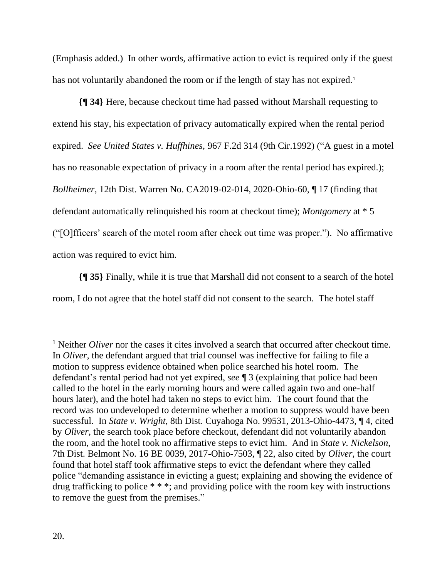(Emphasis added.) In other words, affirmative action to evict is required only if the guest has not voluntarily abandoned the room or if the length of stay has not expired.<sup>1</sup>

**{¶ 34}** Here, because checkout time had passed without Marshall requesting to extend his stay, his expectation of privacy automatically expired when the rental period expired. *See United States v. Huffhines,* 967 F.2d 314 (9th Cir.1992) ("A guest in a motel has no reasonable expectation of privacy in a room after the rental period has expired.); *Bollheimer,* 12th Dist. Warren No. CA2019-02-014, 2020-Ohio-60, ¶ 17 (finding that defendant automatically relinquished his room at checkout time); *Montgomery* at \* 5 ("[O]fficers' search of the motel room after check out time was proper."). No affirmative action was required to evict him.

**{¶ 35}** Finally, while it is true that Marshall did not consent to a search of the hotel room, I do not agree that the hotel staff did not consent to the search. The hotel staff

<sup>&</sup>lt;sup>1</sup> Neither *Oliver* nor the cases it cites involved a search that occurred after checkout time. In *Oliver,* the defendant argued that trial counsel was ineffective for failing to file a motion to suppress evidence obtained when police searched his hotel room. The defendant's rental period had not yet expired, *see* ¶ 3 (explaining that police had been called to the hotel in the early morning hours and were called again two and one-half hours later), and the hotel had taken no steps to evict him. The court found that the record was too undeveloped to determine whether a motion to suppress would have been successful. In *State v. Wright*, 8th Dist. Cuyahoga No. 99531, 2013-Ohio-4473, ¶ 4, cited by *Oliver,* the search took place before checkout, defendant did not voluntarily abandon the room, and the hotel took no affirmative steps to evict him. And in *State v. Nickelson*, 7th Dist. Belmont No. 16 BE 0039, 2017-Ohio-7503, ¶ 22, also cited by *Oliver,* the court found that hotel staff took affirmative steps to evict the defendant where they called police "demanding assistance in evicting a guest; explaining and showing the evidence of drug trafficking to police \* \* \*; and providing police with the room key with instructions to remove the guest from the premises."